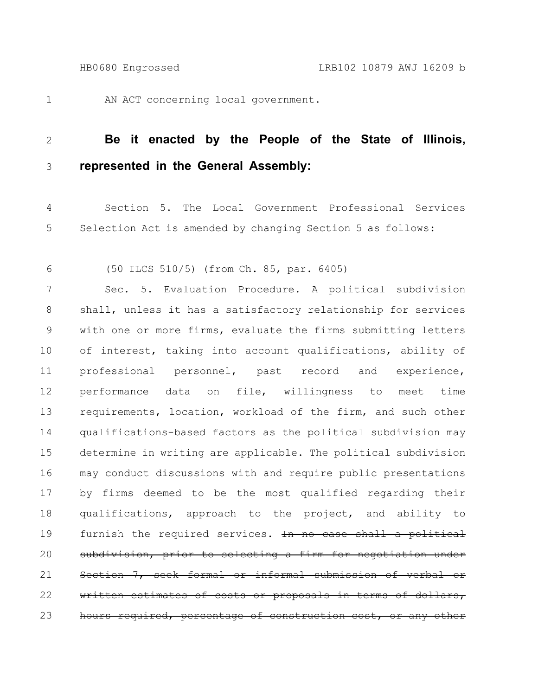1

AN ACT concerning local government.

## **Be it enacted by the People of the State of Illinois, represented in the General Assembly:** 2 3

Section 5. The Local Government Professional Services Selection Act is amended by changing Section 5 as follows: 4 5

(50 ILCS 510/5) (from Ch. 85, par. 6405) 6

Sec. 5. Evaluation Procedure. A political subdivision shall, unless it has a satisfactory relationship for services with one or more firms, evaluate the firms submitting letters of interest, taking into account qualifications, ability of professional personnel, past record and experience, performance data on file, willingness to meet time requirements, location, workload of the firm, and such other qualifications-based factors as the political subdivision may determine in writing are applicable. The political subdivision may conduct discussions with and require public presentations by firms deemed to be the most qualified regarding their qualifications, approach to the project, and ability to furnish the required services. In no case shall a political subdivision, prior to selecting a firm for negotiation under Section 7, seek formal or informal submission of verbal or written estimates of costs or proposals in terms of dollars, hours required, percentage of construction cost, or any other 7 8 9 10 11 12 13 14 15 16 17 18 19 20 21 22 23